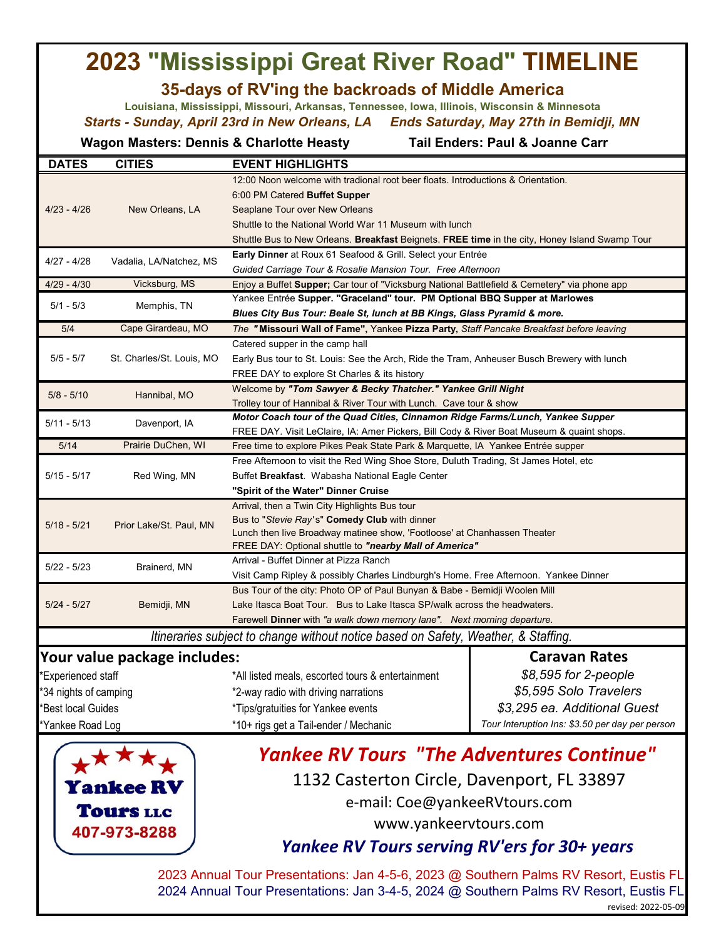## **2023 "Mississippi Great River Road" TIMELINE**

## **35-days of RV'ing the backroads of Middle America**

**Louisiana, Mississippi, Missouri, Arkansas, Tennessee, Iowa, Illinois, Wisconsin & Minnesota** *Starts - Sunday, April 23rd in New Orleans, LA Ends Saturday, May 27th in Bemidji, MN*

**Wagon Masters: Dennis & Charlotte Heasty Tail Enders: Paul & Joanne Carr** 

| <b>DATES</b>          | <b>CITIES</b>                | <b>EVENT HIGHLIGHTS</b>                                                                                                                                            |                                                 |  |  |
|-----------------------|------------------------------|--------------------------------------------------------------------------------------------------------------------------------------------------------------------|-------------------------------------------------|--|--|
|                       | New Orleans, LA              | 12:00 Noon welcome with tradional root beer floats. Introductions & Orientation.                                                                                   |                                                 |  |  |
|                       |                              | 6:00 PM Catered Buffet Supper                                                                                                                                      |                                                 |  |  |
| $4/23 - 4/26$         |                              | Seaplane Tour over New Orleans                                                                                                                                     |                                                 |  |  |
|                       |                              | Shuttle to the National World War 11 Museum with lunch                                                                                                             |                                                 |  |  |
|                       |                              | Shuttle Bus to New Orleans. Breakfast Beignets. FREE time in the city, Honey Island Swamp Tour                                                                     |                                                 |  |  |
| $4/27 - 4/28$         | Vadalia, LA/Natchez, MS      | Early Dinner at Roux 61 Seafood & Grill. Select your Entrée                                                                                                        |                                                 |  |  |
|                       |                              | Guided Carriage Tour & Rosalie Mansion Tour. Free Afternoon                                                                                                        |                                                 |  |  |
| $4/29 - 4/30$         | Vicksburg, MS                | Enjoy a Buffet Supper; Car tour of "Vicksburg National Battlefield & Cemetery" via phone app                                                                       |                                                 |  |  |
| $5/1 - 5/3$           | Memphis, TN                  | Yankee Entrée Supper. "Graceland" tour. PM Optional BBQ Supper at Marlowes                                                                                         |                                                 |  |  |
|                       |                              | Blues City Bus Tour: Beale St, lunch at BB Kings, Glass Pyramid & more.                                                                                            |                                                 |  |  |
| 5/4                   | Cape Girardeau, MO           | The "Missouri Wall of Fame", Yankee Pizza Party, Staff Pancake Breakfast before leaving                                                                            |                                                 |  |  |
|                       | St. Charles/St. Louis, MO    | Catered supper in the camp hall                                                                                                                                    |                                                 |  |  |
| $5/5 - 5/7$           |                              | Early Bus tour to St. Louis: See the Arch, Ride the Tram, Anheuser Busch Brewery with lunch                                                                        |                                                 |  |  |
|                       |                              | FREE DAY to explore St Charles & its history                                                                                                                       |                                                 |  |  |
| $5/8 - 5/10$          | Hannibal, MO                 | Welcome by "Tom Sawyer & Becky Thatcher." Yankee Grill Night                                                                                                       |                                                 |  |  |
|                       |                              | Trolley tour of Hannibal & River Tour with Lunch. Cave tour & show                                                                                                 |                                                 |  |  |
| $5/11 - 5/13$         | Davenport, IA                | Motor Coach tour of the Quad Cities, Cinnamon Ridge Farms/Lunch, Yankee Supper                                                                                     |                                                 |  |  |
|                       |                              | FREE DAY. Visit LeClaire, IA: Amer Pickers, Bill Cody & River Boat Museum & quaint shops.                                                                          |                                                 |  |  |
| 5/14                  | Prairie DuChen, WI           | Free time to explore Pikes Peak State Park & Marquette, IA Yankee Entrée supper                                                                                    |                                                 |  |  |
|                       | Red Wing, MN                 | Free Afternoon to visit the Red Wing Shoe Store, Duluth Trading, St James Hotel, etc                                                                               |                                                 |  |  |
| $5/15 - 5/17$         |                              | Buffet Breakfast. Wabasha National Eagle Center                                                                                                                    |                                                 |  |  |
|                       |                              | "Spirit of the Water" Dinner Cruise                                                                                                                                |                                                 |  |  |
|                       | Prior Lake/St. Paul, MN      | Arrival, then a Twin City Highlights Bus tour                                                                                                                      |                                                 |  |  |
| $5/18 - 5/21$         |                              | Bus to "Stevie Ray's" Comedy Club with dinner                                                                                                                      |                                                 |  |  |
|                       |                              | Lunch then live Broadway matinee show, 'Footloose' at Chanhassen Theater                                                                                           |                                                 |  |  |
|                       |                              | FREE DAY: Optional shuttle to "nearby Mall of America"<br>Arrival - Buffet Dinner at Pizza Ranch                                                                   |                                                 |  |  |
| $5/22 - 5/23$         | Brainerd, MN                 |                                                                                                                                                                    |                                                 |  |  |
|                       |                              | Visit Camp Ripley & possibly Charles Lindburgh's Home. Free Afternoon. Yankee Dinner<br>Bus Tour of the city: Photo OP of Paul Bunyan & Babe - Bemidji Woolen Mill |                                                 |  |  |
| $5/24 - 5/27$         | Bemidji, MN                  | Lake Itasca Boat Tour. Bus to Lake Itasca SP/walk across the headwaters.                                                                                           |                                                 |  |  |
|                       |                              | Farewell Dinner with "a walk down memory lane". Next morning departure.                                                                                            |                                                 |  |  |
|                       |                              |                                                                                                                                                                    |                                                 |  |  |
|                       |                              | Itineraries subject to change without notice based on Safety, Weather, & Staffing.                                                                                 |                                                 |  |  |
|                       | Your value package includes: |                                                                                                                                                                    | <b>Caravan Rates</b>                            |  |  |
| *Experienced staff    |                              | *All listed meals, escorted tours & entertainment                                                                                                                  | \$8,595 for 2-people                            |  |  |
| *34 nights of camping |                              | *2-way radio with driving narrations                                                                                                                               | \$5,595 Solo Travelers                          |  |  |
| *Best local Guides    |                              | *Tips/gratuities for Yankee events                                                                                                                                 | \$3,295 ea. Additional Guest                    |  |  |
| *Yankee Road Log      |                              |                                                                                                                                                                    | Tour Interuption Ins: \$3.50 per day per person |  |  |



## 1132 Casterton Circle, Davenport, FL 33897 e-mail: Coe@yankeeRVtours.com *Yankee RV Tours "The Adventures Continue"*

[www.yankeervtours.com](http://www.yankeervtours.com/)

## *Yankee RV Tours serving RV'ers for 30+ years*

2023 Annual Tour Presentations: Jan 4-5-6, 2023 @ Southern Palms RV Resort, Eustis FL 2024 Annual Tour Presentations: Jan 3-4-5, 2024 @ Southern Palms RV Resort, Eustis FL